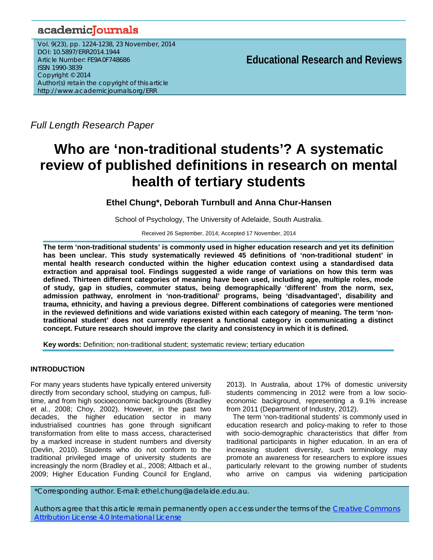## academicJournals

Vol. 9(23), pp. 1224-1238, 23 November, 2014 DOI: 10.5897/ERR2014.1944 Article Number: FE9A0F748686 ISSN 1990-3839 Copyright © 2014 Author(s) retain the copyright of this article http://www.academicjournals.org/ERR

**Educational Research and Reviews**

*Full Length Research Paper*

# **Who are 'non-traditional students'? A systematic review of published definitions in research on mental health of tertiary students**

## **Ethel Chung\*, Deborah Turnbull and Anna Chur-Hansen**

School of Psychology, The University of Adelaide, South Australia.

Received 26 September, 2014; Accepted 17 November, 2014

**The term 'non-traditional students' is commonly used in higher education research and yet its definition has been unclear. This study systematically reviewed 45 definitions of 'non-traditional student' in mental health research conducted within the higher education context using a standardised data extraction and appraisal tool. Findings suggested a wide range of variations on how this term was defined. Thirteen different categories of meaning have been used, including age, multiple roles, mode of study, gap in studies, commuter status, being demographically 'different' from the norm, sex, admission pathway, enrolment in 'non-traditional' programs, being 'disadvantaged', disability and trauma, ethnicity, and having a previous degree. Different combinations of categories were mentioned in the reviewed definitions and wide variations existed within each category of meaning. The term 'nontraditional student' does not currently represent a functional category in communicating a distinct concept. Future research should improve the clarity and consistency in which it is defined.** 

**Key words:** Definition; non-traditional student; systematic review; tertiary education

## **INTRODUCTION**

For many years students have typically entered university directly from secondary school, studying on campus, fulltime, and from high socioeconomic backgrounds (Bradley et al., 2008; Choy, 2002). However, in the past two decades, the higher education sector in many industrialised countries has gone through significant transformation from elite to mass access, characterised by a marked increase in student numbers and diversity (Devlin, 2010). Students who do not conform to the traditional privileged image of university students are increasingly the norm (Bradley et al., 2008; Altbach et al., 2009; Higher Education Funding Council for England, 2013). In Australia, about 17% of domestic university students commencing in 2012 were from a low socioeconomic background, representing a 9.1% increase from 2011 (Department of Industry, 2012).

The term 'non-traditional students' is commonly used in education research and policy-making to refer to those with socio-demographic characteristics that differ from traditional participants in higher education. In an era of increasing student diversity, such terminology may promote an awareness for researchers to explore issues particularly relevant to the growing number of students who arrive on campus via widening participation

\*Corresponding author. E-mail: ethel.chung@adelaide.edu.au.

Authors agree that this article remain permanently open access under the terms of the Creative Commons Attribution License 4.0 International License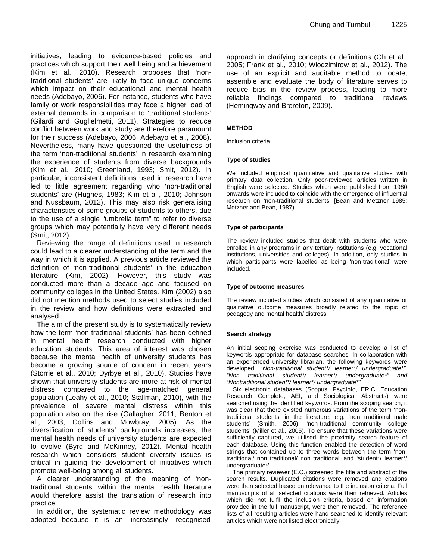initiatives, leading to evidence-based policies and practices which support their well being and achievement (Kim et al., 2010). Research proposes that 'nontraditional students' are likely to face unique concerns which impact on their educational and mental health needs (Adebayo, 2006). For instance, students who have family or work responsibilities may face a higher load of external demands in comparison to 'traditional students' (Gilardi and Guglielmetti, 2011). Strategies to reduce conflict between work and study are therefore paramount for their success (Adebayo, 2006; Adebayo et al., 2008). Nevertheless, many have questioned the usefulness of the term 'non-traditional students' in research examining the experience of students from diverse backgrounds (Kim et al., 2010; Greenland, 1993; Smit, 2012). In particular, inconsistent definitions used in research have led to little agreement regarding who 'non-traditional students' are (Hughes, 1983; Kim et al., 2010; Johnson and Nussbaum, 2012). This may also risk generalising characteristics of some groups of students to others, due to the use of a single "umbrella term" to refer to diverse groups which may potentially have very different needs (Smit, 2012).

Reviewing the range of definitions used in research could lead to a clearer understanding of the term and the way in which it is applied. A previous article reviewed the definition of 'non-traditional students' in the education literature (Kim, 2002). However, this study was conducted more than a decade ago and focused on community colleges in the United States. Kim (2002) also did not mention methods used to select studies included in the review and how definitions were extracted and analysed.

The aim of the present study is to systematically review how the term 'non-traditional students' has been defined in mental health research conducted with higher education students. This area of interest was chosen because the mental health of university students has become a growing source of concern in recent years (Storrie et al., 2010; Dyrbye et al., 2010). Studies have shown that university students are more at-risk of mental distress compared to the age-matched general population (Leahy et al., 2010; Stallman, 2010), with the prevalence of severe mental distress within this population also on the rise (Gallagher, 2011; Benton et al., 2003; Collins and Mowbray, 2005). As the diversification of students' backgrounds increases, the mental health needs of university students are expected to evolve (Byrd and McKinney, 2012). Mental health research which considers student diversity issues is critical in guiding the development of initiatives which promote well-being among all students.

A clearer understanding of the meaning of 'nontraditional students' within the mental health literature would therefore assist the translation of research into practice.

In addition, the systematic review methodology was adopted because it is an increasingly recognised approach in clarifying concepts or definitions (Oh et al., 2005; Frank et al., 2010; Wlodzimirow et al., 2012). The use of an explicit and auditable method to locate, assemble and evaluate the body of literature serves to reduce bias in the review process, leading to more reliable findings compared to traditional reviews (Hemingway and Brereton, 2009).

#### **METHOD**

Inclusion criteria

#### **Type of studies**

We included empirical quantitative and qualitative studies with primary data collection. Only peer-reviewed articles written in English were selected. Studies which were published from 1980 onwards were included to coincide with the emergence of influential research on 'non-traditional students' [Bean and Metzner 1985; Metzner and Bean, 1987).

#### **Type of participants**

The review included studies that dealt with students who were enrolled in any programs in any tertiary institutions (e.g. vocational institutions, universities and colleges). In addition, only studies in which participants were labelled as being 'non-traditional' were included.

#### **Type of outcome measures**

The review included studies which consisted of any quantitative or qualitative outcome measures broadly related to the topic of pedagogy and mental health/ distress.

#### **Search strategy**

An initial scoping exercise was conducted to develop a list of keywords appropriate for database searches. In collaboration with an experienced university librarian, the following keywords were developed: "*Non-traditional student\*/ learner\*/ undergraduate\*", "Non traditional student\*/ learner\*/ undergraduate\*" and "Nontraditional student\*/ learner\*/ undergraduate\*".* 

Six electronic databases (Scopus, PsycInfo, ERIC, Education Research Complete, AEI, and Sociological Abstracts) were searched using the identified keywords. From the scoping search, it was clear that there existed numerous variations of the term 'nontraditional students' in the literature; e.g. 'non traditional male students' (Smith, 2006); 'non-traditional community college students' (Miller et al., 2005). To ensure that these variations were sufficiently captured, we utilised the proximity search feature of each database. Using this function enabled the detection of word strings that contained up to three words between the term 'nontraditional/ non traditional/ non traditional' and 'student\*/ learner\*/ undergraduate\*'.

The primary reviewer (E.C.) screened the title and abstract of the search results. Duplicated citations were removed and citations were then selected based on relevance to the inclusion criteria. Full manuscripts of all selected citations were then retrieved. Articles which did not fulfil the inclusion criteria, based on information provided in the full manuscript, were then removed. The reference lists of all resulting articles were hand-searched to identify relevant articles which were not listed electronically.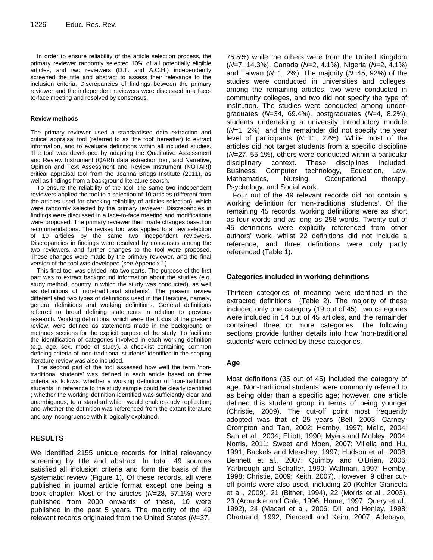In order to ensure reliability of the article selection process, the primary reviewer randomly selected 10% of all potentially eligible articles, and two reviewers (D.T. and A.C.H.) independently screened the title and abstract to assess their relevance to the inclusion criteria. Discrepancies of findings between the primary reviewer and the independent reviewers were discussed in a faceto-face meeting and resolved by consensus.

#### **Review methods**

The primary reviewer used a standardised data extraction and critical appraisal tool (referred to as 'the tool' hereafter) to extract information, and to evaluate definitions within all included studies. The tool was developed by adapting the Qualitative Assessment and Review Instrument (QARI) data extraction tool, and Narrative, Opinion and Text Assessment and Review Instrument (NOTARI) critical appraisal tool from the Joanna Briggs Institute (2011), as well as findings from a background literature search.

To ensure the reliability of the tool, the same two independent reviewers applied the tool to a selection of 10 articles (different from the articles used for checking reliability of articles selection), which were randomly selected by the primary reviewer. Discrepancies in findings were discussed in a face-to-face meeting and modifications were proposed. The primary reviewer then made changes based on recommendations. The revised tool was applied to a new selection of 10 articles by the same two independent reviewers. Discrepancies in findings were resolved by consensus among the two reviewers, and further changes to the tool were proposed. These changes were made by the primary reviewer, and the final version of the tool was developed (see Appendix 1).

This final tool was divided into two parts. The purpose of the first part was to extract background information about the studies (e.g. study method, country in which the study was conducted), as well as definitions of 'non-traditional students'. The present review differentiated two types of definitions used in the literature, namely, general definitions and working definitions. General definitions referred to broad defining statements in relation to previous research. Working definitions, which were the focus of the present review, were defined as statements made in the background or methods sections for the explicit purpose of the study. To facilitate the identification of categories involved in each working definition (e.g. age, sex, mode of study), a checklist containing common defining criteria of 'non-traditional students' identified in the scoping literature review was also included.

The second part of the tool assessed how well the term 'nontraditional students' was defined in each article based on three criteria as follows: whether a working definition of 'non-traditional students' in reference to the study sample could be clearly identified ; whether the working definition identified was sufficiently clear and unambiguous, to a standard which would enable study replication; and whether the definition was referenced from the extant literature and any incongruence with it logically explained.

## **RESULTS**

We identified 2155 unique records for initial relevancy screening by title and abstract. In total, 49 sources satisfied all inclusion criteria and form the basis of the systematic review (Figure 1). Of these records, all were published in journal article format except one being a book chapter. Most of the articles (*N*=28, 57.1%) were published from 2000 onwards; of these, 10 were published in the past 5 years. The majority of the 49 relevant records originated from the United States (*N*=37,

75.5%) while the others were from the United Kingdom (*N*=7, 14.3%), Canada (*N*=2, 4.1%), Nigeria (*N*=2, 4.1%) and Taiwan (*N*=1, 2%). The majority (*N*=45, 92%) of the studies were conducted in universities and colleges, among the remaining articles, two were conducted in community colleges, and two did not specify the type of institution. The studies were conducted among undergraduates (*N*=34, 69.4%), postgraduates (*N*=4, 8.2%), students undertaking a university introductory module (*N*=1, 2%), and the remainder did not specify the year level of participants (*N*=11, 22%). While most of the articles did not target students from a specific discipline (*N*=27, 55.1%), others were conducted within a particular disciplinary context. These disciplines included: Business, Computer technology, Education, Law, Mathematics, Nursing, Occupational therapy, Psychology, and Social work.

Four out of the 49 relevant records did not contain a working definition for 'non-traditional students'. Of the remaining 45 records, working definitions were as short as four words and as long as 258 words. Twenty out of 45 definitions were explicitly referenced from other authors' work, whilst 22 definitions did not include a reference, and three definitions were only partly referenced (Table 1).

## **Categories included in working definitions**

Thirteen categories of meaning were identified in the extracted definitions (Table 2). The majority of these included only one category (19 out of 45), two categories were included in 14 out of 45 articles, and the remainder contained three or more categories. The following sections provide further details into how 'non-traditional students' were defined by these categories.

## **Age**

Most definitions (35 out of 45) included the category of age. 'Non-traditional students' were commonly referred to as being older than a specific age; however, one article defined this student group in terms of being younger (Christie, 2009). The cut-off point most frequently adopted was that of 25 years (Bell, 2003; Carney-Crompton and Tan, 2002; Hemby, 1997; Mello, 2004; San et al., 2004; Elliott, 1990; Myers and Mobley, 2004; Norris, 2011; Sweet and Moen, 2007; Villella and Hu, 1991; Backels and Meashey, 1997; Hudson et al., 2008; Bennett et al., 2007; Quimby and O'Brien, 2006; Yarbrough and Schaffer, 1990; Waltman, 1997; Hemby, 1998; Christie, 2009; Keith, 2007). However, 9 other cutoff points were also used, including 20 (Kohler Giancola et al., 2009), 21 (Bitner, 1994), 22 (Morris et al., 2003), 23 (Arbuckle and Gale, 1996; Home, 1997; Query et al., 1992), 24 (Macari et al., 2006; Dill and Henley, 1998; Chartrand, 1992; Pierceall and Keim, 2007; Adebayo,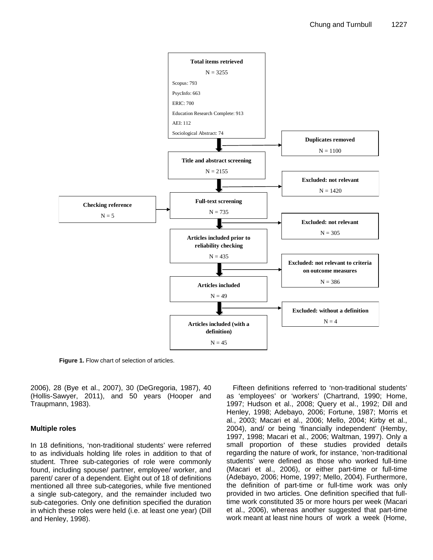

**Figure 1.** Flow chart of selection of articles.

2006), 28 (Bye et al., 2007), 30 (DeGregoria, 1987), 40 (Hollis-Sawyer, 2011), and 50 years (Hooper and Traupmann, 1983).

## **Multiple roles**

In 18 definitions, 'non-traditional students' were referred to as individuals holding life roles in addition to that of student. Three sub-categories of role were commonly found, including spouse/ partner, employee/ worker, and parent/ carer of a dependent. Eight out of 18 of definitions mentioned all three sub-categories, while five mentioned a single sub-category, and the remainder included two sub-categories. Only one definition specified the duration in which these roles were held (i.e. at least one year) (Dill and Henley, 1998).

Fifteen definitions referred to 'non-traditional students' as 'employees' or 'workers' (Chartrand, 1990; Home, 1997; Hudson et al., 2008; Query et al., 1992; Dill and Henley, 1998; Adebayo, 2006; Fortune, 1987; Morris et al., 2003; Macari et al., 2006; Mello, 2004; Kirby et al., 2004), and/ or being 'financially independent' (Hemby, 1997, 1998; Macari et al., 2006; Waltman, 1997). Only a small proportion of these studies provided details regarding the nature of work, for instance, 'non-traditional students' were defined as those who worked full-time (Macari et al., 2006), or either part-time or full-time (Adebayo, 2006; Home, 1997; Mello, 2004). Furthermore, the definition of part-time or full-time work was only provided in two articles. One definition specified that fulltime work constituted 35 or more hours per week (Macari et al., 2006), whereas another suggested that part-time work meant at least nine hours of work a week (Home,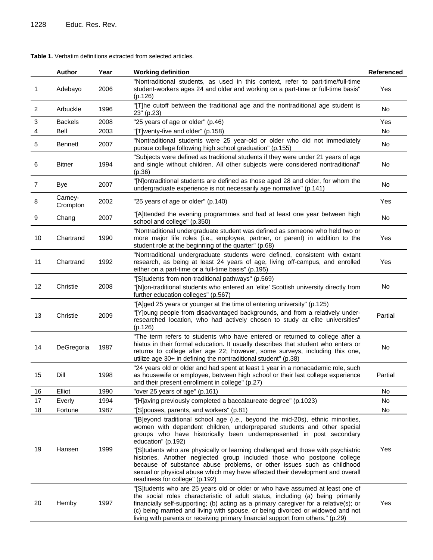| <b>Table 1.</b> Verbatim definitions extracted from selected articles. |  |  |  |  |
|------------------------------------------------------------------------|--|--|--|--|
|------------------------------------------------------------------------|--|--|--|--|

|                | Author              | Year | <b>Working definition</b>                                                                                                                                                                                                                                                                                                                                                                                                                                                                                                                                                                                            | <b>Referenced</b> |
|----------------|---------------------|------|----------------------------------------------------------------------------------------------------------------------------------------------------------------------------------------------------------------------------------------------------------------------------------------------------------------------------------------------------------------------------------------------------------------------------------------------------------------------------------------------------------------------------------------------------------------------------------------------------------------------|-------------------|
| 1              | Adebayo             | 2006 | "Nontraditional students, as used in this context, refer to part-time/full-time<br>student-workers ages 24 and older and working on a part-time or full-time basis"<br>(p.126)                                                                                                                                                                                                                                                                                                                                                                                                                                       | Yes               |
| $\overline{2}$ | Arbuckle            | 1996 | "[T]he cutoff between the traditional age and the nontraditional age student is<br>23" (p.23)                                                                                                                                                                                                                                                                                                                                                                                                                                                                                                                        | No                |
| $\overline{3}$ | <b>Backels</b>      | 2008 | "25 years of age or older" (p.46)                                                                                                                                                                                                                                                                                                                                                                                                                                                                                                                                                                                    | Yes               |
| $\overline{4}$ | Bell                | 2003 | "[T]wenty-five and older" (p.158)                                                                                                                                                                                                                                                                                                                                                                                                                                                                                                                                                                                    | No.               |
| 5              | Bennett             | 2007 | "Nontraditional students were 25 year-old or older who did not immediately<br>pursue college following high school graduation" (p.155)                                                                                                                                                                                                                                                                                                                                                                                                                                                                               | No                |
| 6              | <b>Bitner</b>       | 1994 | "Subjects were defined as traditional students if they were under 21 years of age<br>and single without children. All other subjects were considered nontraditional"<br>(p.36)                                                                                                                                                                                                                                                                                                                                                                                                                                       | No                |
| $\overline{7}$ | Bye                 | 2007 | "[N]ontraditional students are defined as those aged 28 and older, for whom the<br>undergraduate experience is not necessarily age normative" (p.141)                                                                                                                                                                                                                                                                                                                                                                                                                                                                | No                |
| 8              | Carney-<br>Crompton | 2002 | "25 years of age or older" (p.140)                                                                                                                                                                                                                                                                                                                                                                                                                                                                                                                                                                                   | Yes               |
| 9              | Chang               | 2007 | "[A]ttended the evening programmes and had at least one year between high<br>school and college" (p.350)                                                                                                                                                                                                                                                                                                                                                                                                                                                                                                             | No                |
| 10             | Chartrand           | 1990 | "Nontraditional undergraduate student was defined as someone who held two or<br>more major life roles (i.e., employee, partner, or parent) in addition to the<br>student role at the beginning of the quarter" (p.68)                                                                                                                                                                                                                                                                                                                                                                                                | Yes               |
| 11             | Chartrand           | 1992 | "Nontraditional undergraduate students were defined, consistent with extant<br>research, as being at least 24 years of age, living off-campus, and enrolled<br>either on a part-time or a full-time basis" (p.195)                                                                                                                                                                                                                                                                                                                                                                                                   | Yes               |
| 12             | Christie            | 2008 | "[S]tudents from non-traditional pathways" (p.569)<br>"[N]on-traditional students who entered an 'elite' Scottish university directly from<br>further education colleges" (p.567)                                                                                                                                                                                                                                                                                                                                                                                                                                    | No                |
| 13             | Christie            | 2009 | "[A]ged 25 years or younger at the time of entering university" (p.125)<br>"[Y]oung people from disadvantaged backgrounds, and from a relatively under-<br>researched location, who had actively chosen to study at elite universities"<br>(p.126)                                                                                                                                                                                                                                                                                                                                                                   | Partial           |
| 14             | DeGregoria          | 1987 | "The term refers to students who have entered or returned to college after a<br>hiatus in their formal education. It usually describes that student who enters or<br>returns to college after age 22; however, some surveys, including this one,<br>utilize age 30+ in defining the nontraditional student" (p.38)                                                                                                                                                                                                                                                                                                   | No                |
| 15             | Dill                | 1998 | "24 years old or older and had spent at least 1 year in a nonacademic role, such<br>as housewife or employee, between high school or their last college experience<br>and their present enrollment in college" (p.27)                                                                                                                                                                                                                                                                                                                                                                                                | Partial           |
| 16             | Elliot              | 1990 | "over 25 years of age" (p.161)                                                                                                                                                                                                                                                                                                                                                                                                                                                                                                                                                                                       | No                |
| 17             | Everly              | 1994 | "[H]aving previously completed a baccalaureate degree" (p.1023)                                                                                                                                                                                                                                                                                                                                                                                                                                                                                                                                                      | No                |
| 18             | Fortune             | 1987 | "[S] pouses, parents, and workers" (p.81)                                                                                                                                                                                                                                                                                                                                                                                                                                                                                                                                                                            | No                |
| 19             | Hansen              | 1999 | "[B]eyond traditional school age (i.e., beyond the mid-20s), ethnic minorities,<br>women with dependent children, underprepared students and other special<br>groups who have historically been underrepresented in post secondary<br>education" (p.192)<br>"[S]tudents who are physically or learning challenged and those with psychiatric<br>histories. Another neglected group included those who postpone college<br>because of substance abuse problems, or other issues such as childhood<br>sexual or physical abuse which may have affected their development and overall<br>readiness for college" (p.192) | Yes               |
| 20             | Hemby               | 1997 | "[S]tudents who are 25 years old or older or who have assumed at least one of<br>the social roles characteristic of adult status, including (a) being primarily<br>financially self-supporting; (b) acting as a primary caregiver for a relative(s); or<br>(c) being married and living with spouse, or being divorced or widowed and not<br>living with parents or receiving primary financial support from others." (p.29)                                                                                                                                                                                         | Yes               |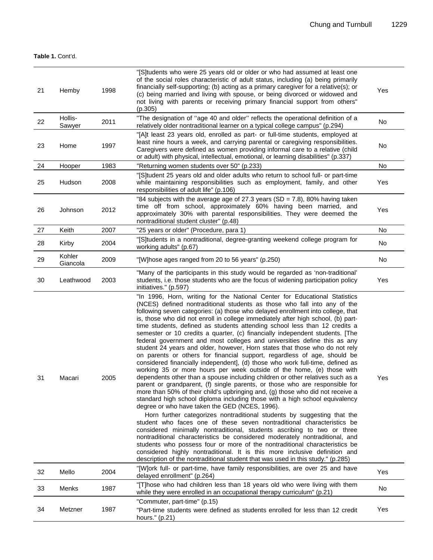## **Table 1.** Cont'd.

| 21 | Hemby              | 1998 | "[S]tudents who were 25 years old or older or who had assumed at least one<br>of the social roles characteristic of adult status, including (a) being primarily<br>financially self-supporting; (b) acting as a primary caregiver for a relative(s); or<br>(c) being married and living with spouse, or being divorced or widowed and<br>not living with parents or receiving primary financial support from others"<br>(p.305)                                                                                                                                                                                                                                                                                                                                                                                                                                                                                                                                                                                                                                                                                                                                                                                                                                                                                                                                                                                                                                                                                                                                                                                                                                                                                                                                                                                                                | Yes |
|----|--------------------|------|------------------------------------------------------------------------------------------------------------------------------------------------------------------------------------------------------------------------------------------------------------------------------------------------------------------------------------------------------------------------------------------------------------------------------------------------------------------------------------------------------------------------------------------------------------------------------------------------------------------------------------------------------------------------------------------------------------------------------------------------------------------------------------------------------------------------------------------------------------------------------------------------------------------------------------------------------------------------------------------------------------------------------------------------------------------------------------------------------------------------------------------------------------------------------------------------------------------------------------------------------------------------------------------------------------------------------------------------------------------------------------------------------------------------------------------------------------------------------------------------------------------------------------------------------------------------------------------------------------------------------------------------------------------------------------------------------------------------------------------------------------------------------------------------------------------------------------------------|-----|
| 22 | Hollis-<br>Sawyer  | 2011 | "The designation of "age 40 and older" reflects the operational definition of a<br>relatively older nontraditional learner on a typical college campus" (p.294)                                                                                                                                                                                                                                                                                                                                                                                                                                                                                                                                                                                                                                                                                                                                                                                                                                                                                                                                                                                                                                                                                                                                                                                                                                                                                                                                                                                                                                                                                                                                                                                                                                                                                | No  |
| 23 | Home               | 1997 | "[A]t least 23 years old, enrolled as part- or full-time students, employed at<br>least nine hours a week, and carrying parental or caregiving responsibilities.<br>Caregivers were defined as women providing informal care to a relative (child<br>or adult) with physical, intellectual, emotional, or learning disabilities" (p.337)                                                                                                                                                                                                                                                                                                                                                                                                                                                                                                                                                                                                                                                                                                                                                                                                                                                                                                                                                                                                                                                                                                                                                                                                                                                                                                                                                                                                                                                                                                       | No  |
| 24 | Hooper             | 1983 | "Returning women students over 50" (p.233)                                                                                                                                                                                                                                                                                                                                                                                                                                                                                                                                                                                                                                                                                                                                                                                                                                                                                                                                                                                                                                                                                                                                                                                                                                                                                                                                                                                                                                                                                                                                                                                                                                                                                                                                                                                                     | No  |
| 25 | Hudson             | 2008 | "[S]tudent 25 years old and older adults who return to school full- or part-time<br>while maintaining responsibilities such as employment, family, and other<br>responsibilities of adult life" (p.106)                                                                                                                                                                                                                                                                                                                                                                                                                                                                                                                                                                                                                                                                                                                                                                                                                                                                                                                                                                                                                                                                                                                                                                                                                                                                                                                                                                                                                                                                                                                                                                                                                                        | Yes |
| 26 | Johnson            | 2012 | "84 subjects with the average age of 27.3 years (SD = 7.8), 80% having taken<br>time off from school, approximately 60% having been married, and<br>approximately 30% with parental responsibilities. They were deemed the<br>nontraditional student cluster" (p.48)                                                                                                                                                                                                                                                                                                                                                                                                                                                                                                                                                                                                                                                                                                                                                                                                                                                                                                                                                                                                                                                                                                                                                                                                                                                                                                                                                                                                                                                                                                                                                                           | Yes |
| 27 | Keith              | 2007 | "25 years or older" (Procedure, para 1)                                                                                                                                                                                                                                                                                                                                                                                                                                                                                                                                                                                                                                                                                                                                                                                                                                                                                                                                                                                                                                                                                                                                                                                                                                                                                                                                                                                                                                                                                                                                                                                                                                                                                                                                                                                                        | No  |
| 28 | Kirby              | 2004 | "[S]tudents in a nontraditional, degree-granting weekend college program for<br>working adults" (p.67)                                                                                                                                                                                                                                                                                                                                                                                                                                                                                                                                                                                                                                                                                                                                                                                                                                                                                                                                                                                                                                                                                                                                                                                                                                                                                                                                                                                                                                                                                                                                                                                                                                                                                                                                         | No  |
| 29 | Kohler<br>Giancola | 2009 | "[W]hose ages ranged from 20 to 56 years" (p.250)                                                                                                                                                                                                                                                                                                                                                                                                                                                                                                                                                                                                                                                                                                                                                                                                                                                                                                                                                                                                                                                                                                                                                                                                                                                                                                                                                                                                                                                                                                                                                                                                                                                                                                                                                                                              | No  |
| 30 | Leathwood          | 2003 | "Many of the participants in this study would be regarded as 'non-traditional'<br>students, i.e. those students who are the focus of widening participation policy<br>initiatives." (p.597)                                                                                                                                                                                                                                                                                                                                                                                                                                                                                                                                                                                                                                                                                                                                                                                                                                                                                                                                                                                                                                                                                                                                                                                                                                                                                                                                                                                                                                                                                                                                                                                                                                                    | Yes |
| 31 | Macari             | 2005 | "In 1996, Horn, writing for the National Center for Educational Statistics<br>(NCES) defined nontraditional students as those who fall into any of the<br>following seven categories: (a) those who delayed enrollment into college, that<br>is, those who did not enroll in college immediately after high school, (b) part-<br>time students, defined as students attending school less than 12 credits a<br>semester or 10 credits a quarter, (c) financially independent students. [The<br>federal government and most colleges and universities define this as any<br>student 24 years and older, however, Horn states that those who do not rely<br>on parents or others for financial support, regardless of age, should be<br>considered financially independent], (d) those who work full-time, defined as<br>working 35 or more hours per week outside of the home, (e) those with<br>dependents other than a spouse including children or other relatives such as a<br>parent or grandparent, (f) single parents, or those who are responsible for<br>more than 50% of their child's upbringing and, (g) those who did not receive a<br>standard high school diploma including those with a high school equivalency<br>degree or who have taken the GED (NCES, 1996).<br>Horn further categorizes nontraditional students by suggesting that the<br>student who faces one of these seven nontraditional characteristics be<br>considered minimally nontraditional, students ascribing to two or three<br>nontraditional characteristics be considered moderately nontraditional, and<br>students who possess four or more of the nontraditional characteristics be<br>considered highly nontraditional. It is this more inclusive definition and<br>description of the nontraditional student that was used in this study." (p.285) | Yes |
| 32 | Mello              | 2004 | "[W]ork full- or part-time, have family responsibilities, are over 25 and have<br>delayed enrollment" (p.264)                                                                                                                                                                                                                                                                                                                                                                                                                                                                                                                                                                                                                                                                                                                                                                                                                                                                                                                                                                                                                                                                                                                                                                                                                                                                                                                                                                                                                                                                                                                                                                                                                                                                                                                                  | Yes |
| 33 | Menks              | 1987 | "[T]hose who had children less than 18 years old who were living with them<br>while they were enrolled in an occupational therapy curriculum" (p.21)                                                                                                                                                                                                                                                                                                                                                                                                                                                                                                                                                                                                                                                                                                                                                                                                                                                                                                                                                                                                                                                                                                                                                                                                                                                                                                                                                                                                                                                                                                                                                                                                                                                                                           | No  |
| 34 | Metzner            | 1987 | "Commuter, part-time" (p.15)<br>"Part-time students were defined as students enrolled for less than 12 credit<br>hours." (p.21)                                                                                                                                                                                                                                                                                                                                                                                                                                                                                                                                                                                                                                                                                                                                                                                                                                                                                                                                                                                                                                                                                                                                                                                                                                                                                                                                                                                                                                                                                                                                                                                                                                                                                                                | Yes |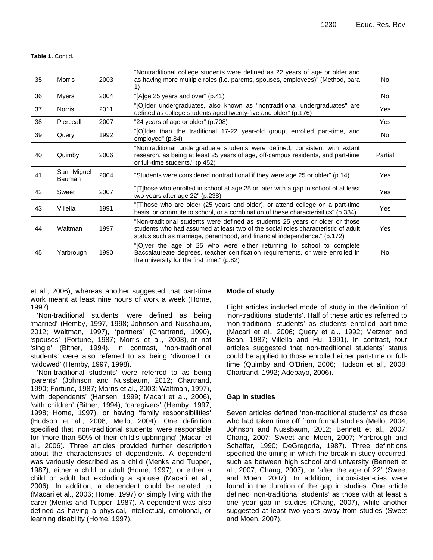**Table 1.** Cont'd.

| 35 | <b>Morris</b>        | 2003 | "Nontraditional college students were defined as 22 years of age or older and<br>as having more multiple roles (i.e. parents, spouses, employees)" (Method, para                                                                                | No      |
|----|----------------------|------|-------------------------------------------------------------------------------------------------------------------------------------------------------------------------------------------------------------------------------------------------|---------|
| 36 | <b>Myers</b>         | 2004 | "[A]ge 25 years and over" (p.41)                                                                                                                                                                                                                | No.     |
| 37 | <b>Norris</b>        | 2011 | "[O]Ider undergraduates, also known as "nontraditional undergraduates" are<br>defined as college students aged twenty-five and older" (p.176)                                                                                                   | Yes     |
| 38 | Pierceall            | 2007 | "24 years of age or older" (p.708)                                                                                                                                                                                                              | Yes     |
| 39 | Query                | 1992 | "[O]Ider than the traditional 17-22 year-old group, enrolled part-time, and<br>employed" (p.84)                                                                                                                                                 | No.     |
| 40 | Quimby               | 2006 | "Nontraditional undergraduate students were defined, consistent with extant<br>research, as being at least 25 years of age, off-campus residents, and part-time<br>or full-time students." (p.452)                                              | Partial |
| 41 | San Miguel<br>Bauman | 2004 | "Students were considered nontraditional if they were age 25 or older" (p.14)                                                                                                                                                                   | Yes     |
| 42 | Sweet                | 2007 | "[T]hose who enrolled in school at age 25 or later with a gap in school of at least<br>two years after age 22" (p.238)                                                                                                                          | Yes     |
| 43 | Villella             | 1991 | "[T]hose who are older (25 years and older), or attend college on a part-time<br>basis, or commute to school, or a combination of these characterisitics" (p.334)                                                                               | Yes     |
| 44 | Waltman              | 1997 | "Non-traditional students were defined as students 25 years or older or those<br>students who had assumed at least two of the social roles characteristic of adult<br>status such as marriage, parenthood, and financial independence." (p.172) | Yes     |
| 45 | Yarbrough            | 1990 | "[O]ver the age of 25 who were either returning to school to complete<br>Baccalaureate degrees, teacher certification requirements, or were enrolled in<br>the university for the first time." (p.82)                                           | No      |

et al., 2006), whereas another suggested that part-time work meant at least nine hours of work a week (Home, 1997).

'Non-traditional students' were defined as being 'married' (Hemby, 1997, 1998; Johnson and Nussbaum, 2012; Waltman, 1997), 'partners' (Chartrand, 1990), 'spouses' (Fortune, 1987; Morris et al., 2003), or not 'single' (Bitner, 1994). In contrast, 'non-traditional students' were also referred to as being 'divorced' or 'widowed' (Hemby, 1997, 1998).

'Non-traditional students' were referred to as being 'parents' (Johnson and Nussbaum, 2012; Chartrand, 1990; Fortune, 1987; Morris et al., 2003; Waltman, 1997), 'with dependents' (Hansen, 1999; Macari et al., 2006), 'with children' (Bitner, 1994), 'caregivers' (Hemby, 1997, 1998; Home, 1997), or having 'family responsibilities' (Hudson et al., 2008; Mello, 2004). One definition specified that 'non-traditional students' were responsible for 'more than 50% of their child's upbringing' (Macari et al., 2006). Three articles provided further description about the characteristics of dependents. A dependent was variously described as a child (Menks and Tupper, 1987), either a child or adult (Home, 1997), or either a child or adult but excluding a spouse (Macari et al., 2006). In addition, a dependent could be related to (Macari et al., 2006; Home, 1997) or simply living with the carer (Menks and Tupper, 1987). A dependent was also defined as having a physical, intellectual, emotional, or learning disability (Home, 1997).

#### **Mode of study**

Eight articles included mode of study in the definition of 'non-traditional students'. Half of these articles referred to 'non-traditional students' as students enrolled part-time (Macari et al., 2006; Query et al., 1992; Metzner and Bean, 1987; Villella and Hu, 1991). In contrast, four articles suggested that non-traditional students' status could be applied to those enrolled either part-time or fulltime (Quimby and O'Brien, 2006; Hudson et al., 2008; Chartrand, 1992; Adebayo, 2006).

#### **Gap in studies**

Seven articles defined 'non-traditional students' as those who had taken time off from formal studies (Mello, 2004; Johnson and Nussbaum, 2012; Bennett et al., 2007; Chang, 2007; Sweet and Moen, 2007; Yarbrough and Schaffer, 1990; DeGregoria, 1987). Three definitions specified the timing in which the break in study occurred, such as between high school and university (Bennett et al., 2007; Chang, 2007), or 'after the age of 22' (Sweet and Moen, 2007). In addition, inconsisten-cies were found in the duration of the gap in studies. One article defined 'non-traditional students' as those with at least a one year gap in studies (Chang, 2007), while another suggested at least two years away from studies (Sweet and Moen, 2007).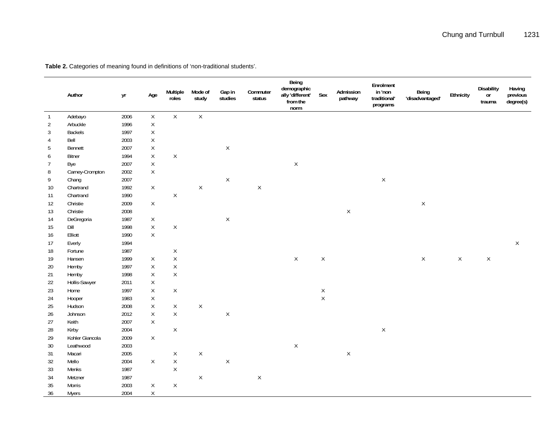|                | Author          | yr   | Age          | Multiple<br>roles | Mode of<br>study | Gap in<br>studies | Commuter<br>status | Being<br>demographic<br>ally 'different'<br>from the<br>norm | Sex         | Admission<br>pathway | Enrolment<br>in 'non<br>traditional'<br>programs | Being<br>'disadvantaged' | Ethnicity   | <b>Disability</b><br>$\mathop{\rm or}\nolimits$<br>trauma | Having<br>previous<br>degree(s) |
|----------------|-----------------|------|--------------|-------------------|------------------|-------------------|--------------------|--------------------------------------------------------------|-------------|----------------------|--------------------------------------------------|--------------------------|-------------|-----------------------------------------------------------|---------------------------------|
| $\mathbf{1}$   | Adebayo         | 2006 | $\mathsf X$  | $\mathsf{X}$      | $\mathsf{X}$     |                   |                    |                                                              |             |                      |                                                  |                          |             |                                                           |                                 |
| $\overline{2}$ | Arbuckle        | 1996 | $\mathsf X$  |                   |                  |                   |                    |                                                              |             |                      |                                                  |                          |             |                                                           |                                 |
| 3              | Backels         | 1997 | $\mathsf X$  |                   |                  |                   |                    |                                                              |             |                      |                                                  |                          |             |                                                           |                                 |
| $\overline{4}$ | Bell            | 2003 | $\mathsf X$  |                   |                  |                   |                    |                                                              |             |                      |                                                  |                          |             |                                                           |                                 |
| 5              | Bennett         | 2007 | $\mathsf X$  |                   |                  | $\mathsf X$       |                    |                                                              |             |                      |                                                  |                          |             |                                                           |                                 |
| 6              | Bitner          | 1994 | $\mathsf X$  | $\mathsf X$       |                  |                   |                    |                                                              |             |                      |                                                  |                          |             |                                                           |                                 |
| $\overline{7}$ | Bye             | 2007 | $\mathsf X$  |                   |                  |                   |                    | $\mathsf X$                                                  |             |                      |                                                  |                          |             |                                                           |                                 |
| 8              | Carney-Crompton | 2002 | $\mathsf{X}$ |                   |                  |                   |                    |                                                              |             |                      |                                                  |                          |             |                                                           |                                 |
| 9              | Chang           | 2007 |              |                   |                  | $\mathsf X$       |                    |                                                              |             |                      | $\mathsf X$                                      |                          |             |                                                           |                                 |
| 10             | Chartrand       | 1992 | $\mathsf{X}$ |                   | $\mathsf X$      |                   | $\mathsf X$        |                                                              |             |                      |                                                  |                          |             |                                                           |                                 |
| 11             | Chartrand       | 1990 |              | $\mathsf X$       |                  |                   |                    |                                                              |             |                      |                                                  |                          |             |                                                           |                                 |
| 12             | Christie        | 2009 | $\mathsf X$  |                   |                  |                   |                    |                                                              |             |                      |                                                  | $\mathsf X$              |             |                                                           |                                 |
| 13             | Christie        | 2008 |              |                   |                  |                   |                    |                                                              |             | $\mathsf X$          |                                                  |                          |             |                                                           |                                 |
| 14             | DeGregoria      | 1987 | $\mathsf{X}$ |                   |                  | $\mathsf X$       |                    |                                                              |             |                      |                                                  |                          |             |                                                           |                                 |
| 15             | Dill            | 1998 | $\mathsf X$  | $\mathsf X$       |                  |                   |                    |                                                              |             |                      |                                                  |                          |             |                                                           |                                 |
| 16             | Elliott         | 1990 | $\mathsf X$  |                   |                  |                   |                    |                                                              |             |                      |                                                  |                          |             |                                                           |                                 |
| 17             | Everly          | 1994 |              |                   |                  |                   |                    |                                                              |             |                      |                                                  |                          |             |                                                           | $\mathsf X$                     |
| $18\,$         | Fortune         | 1987 |              | $\mathsf X$       |                  |                   |                    |                                                              |             |                      |                                                  |                          |             |                                                           |                                 |
| 19             | Hansen          | 1999 | X            | $\mathsf X$       |                  |                   |                    | $\sf X$                                                      | $\mathsf X$ |                      |                                                  | $\mathsf X$              | $\mathsf X$ | $\mathsf X$                                               |                                 |
| $20\,$         | Hemby           | 1997 | $\mathsf X$  | $\mathsf X$       |                  |                   |                    |                                                              |             |                      |                                                  |                          |             |                                                           |                                 |
| 21             | Hemby           | 1998 | $\mathsf X$  | $\mathsf X$       |                  |                   |                    |                                                              |             |                      |                                                  |                          |             |                                                           |                                 |
| 22             | Hollis-Sawyer   | 2011 | $\mathsf X$  |                   |                  |                   |                    |                                                              |             |                      |                                                  |                          |             |                                                           |                                 |
| 23             | Home            | 1997 | $\mathsf X$  | $\mathsf X$       |                  |                   |                    |                                                              | $\mathsf X$ |                      |                                                  |                          |             |                                                           |                                 |
| 24             | Hooper          | 1983 | $\mathsf X$  |                   |                  |                   |                    |                                                              | $\mathsf X$ |                      |                                                  |                          |             |                                                           |                                 |
| 25             | Hudson          | 2008 | $\mathsf{X}$ | X                 | $\mathsf X$      |                   |                    |                                                              |             |                      |                                                  |                          |             |                                                           |                                 |
| $26\,$         | Johnson         | 2012 | $\mathsf X$  | $\mathsf X$       |                  | $\mathsf X$       |                    |                                                              |             |                      |                                                  |                          |             |                                                           |                                 |
| 27             | Keith           | 2007 | X            |                   |                  |                   |                    |                                                              |             |                      |                                                  |                          |             |                                                           |                                 |
| 28             | Kirby           | 2004 |              | $\mathsf X$       |                  |                   |                    |                                                              |             |                      | $\mathsf X$                                      |                          |             |                                                           |                                 |
| 29             | Kohler Giancola | 2009 | X            |                   |                  |                   |                    |                                                              |             |                      |                                                  |                          |             |                                                           |                                 |
| 30             | Leathwood       | 2003 |              |                   |                  |                   |                    | $\mathsf X$                                                  |             |                      |                                                  |                          |             |                                                           |                                 |
| 31             | Macari          | 2005 |              | $\mathsf X$       | $\mathsf X$      |                   |                    |                                                              |             | $\mathsf X$          |                                                  |                          |             |                                                           |                                 |
| 32             | Mello           | 2004 | $\mathsf{X}$ | $\mathsf X$       |                  | $\mathsf X$       |                    |                                                              |             |                      |                                                  |                          |             |                                                           |                                 |
| 33             | Menks           | 1987 |              | $\mathsf X$       |                  |                   |                    |                                                              |             |                      |                                                  |                          |             |                                                           |                                 |
| $34\,$         | Metzner         | 1987 |              |                   | $\mathsf X$      |                   | $\mathsf X$        |                                                              |             |                      |                                                  |                          |             |                                                           |                                 |
| 35             | <b>Morris</b>   | 2003 | $\mathsf{X}$ | $\mathsf X$       |                  |                   |                    |                                                              |             |                      |                                                  |                          |             |                                                           |                                 |
| 36             | <b>Myers</b>    | 2004 | X            |                   |                  |                   |                    |                                                              |             |                      |                                                  |                          |             |                                                           |                                 |

**Table 2.** Categories of meaning found in definitions of 'non-traditional students'.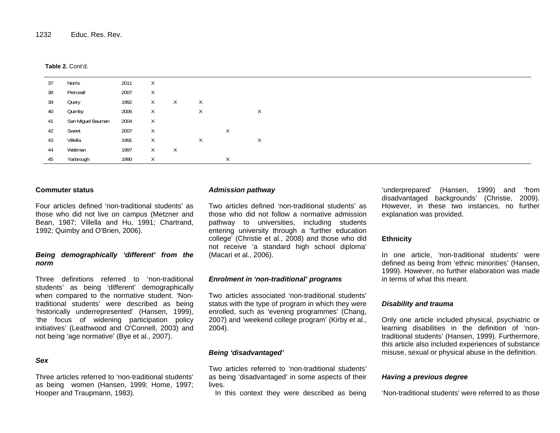#### **Table 2.** Cont'd.

| 37 | Norris            | 2011 | X        |        |   |   |   |
|----|-------------------|------|----------|--------|---|---|---|
| 38 | Pierceall         | 2007 | X        |        |   |   |   |
| 39 | Query             | 1992 | $\times$ | X      | Χ |   |   |
| 40 | Quimby            | 2006 | $\times$ |        | X |   | X |
| 41 | San Miguel Bauman | 2004 | $\times$ |        |   |   |   |
| 42 | Sweet             | 2007 | $\times$ |        |   | Χ |   |
| 43 | Villella          | 1991 | $\times$ |        | Χ |   | X |
| 44 | Waltman           | 1997 | $\times$ | $\chi$ |   |   |   |
| 45 | Yarbrough         | 1990 | X        |        |   | X |   |

#### **Commuter status**

Four articles defined 'non-traditional students' as those who did not live on campus (Metzner and Bean, 1987; Villella and Hu, 1991; Chartrand, 1992; Quimby and O'Brien, 2006).

## *Being demographically 'different' from the norm*

Three definitions referred to 'non-traditional students' as being 'different' demographically when compared to the normative student. 'Nontraditional students' were described as being 'historically underrepresented' (Hansen, 1999), 'the focus of widening participation policy initiatives' (Leathwood and O'Connell, 2003) and not being 'age normative' (Bye et al., 2007).

## *Sex*

Three articles referred to 'non-traditional students' as being women (Hansen, 1999; Home, 1997; Hooper and Traupmann, 1983).

#### *Admission pathway*

Two articles defined 'non-traditional students' as those who did not follow a normative admission pathway to universities, including students entering university through a 'further education college' (Christie et al., 2008) and those who did not receive 'a standard high school diploma' (Macari et al., 2006).

#### *Enrolment in 'non-traditional' programs*

Two articles associated 'non-traditional students' status with the type of program in which they were enrolled, such as 'evening programmes' (Chang, 2007) and 'weekend college program' (Kirby et al., 2004).

## *Being 'disadvantaged'*

Two articles referred to 'non-traditional students' as being 'disadvantaged' in some aspects of their lives.

In this context they were described as being

'underprepared' (Hansen, 1999) and 'from disadvantaged backgrounds' (Christie, 2009). However, in these two instances, no further explanation was provided.

## **Ethnicity**

In one article, 'non-traditional students' were defined as being from 'ethnic minorities' (Hansen, 1999). However, no further elaboration was made in terms of what this meant.

## *Disability and trauma*

Only one article included physical, psychiatric or learning disabilities in the definition of 'nontraditional students' (Hansen, 1999). Furthermore, this article also included experiences of substance misuse, sexual or physical abuse in the definition.

#### *Having a previous degree*

'Non-traditional students' were referred to as those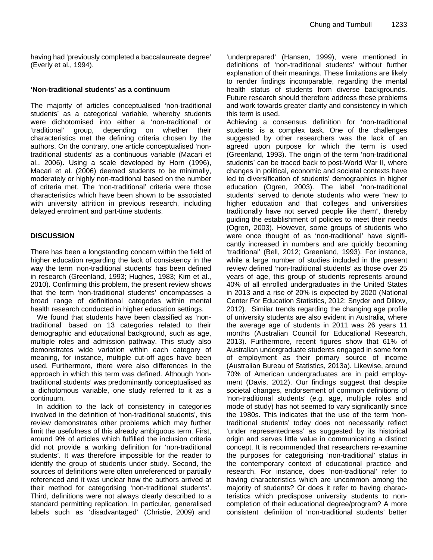having had 'previously completed a baccalaureate degree' (Everly et al., 1994).

## **'Non-traditional students' as a continuum**

The majority of articles conceptualised 'non-traditional students' as a categorical variable, whereby students were dichotomised into either a 'non-traditional' or 'traditional' group, depending on whether their characteristics met the defining criteria chosen by the authors. On the contrary, one article conceptualised 'nontraditional students' as a continuous variable (Macari et al., 2006). Using a scale developed by Horn (1996), Macari et al. (2006) deemed students to be minimally, moderately or highly non-traditional based on the number of criteria met. The 'non-traditional' criteria were those characteristics which have been shown to be associated with university attrition in previous research, including delayed enrolment and part-time students.

## **DISCUSSION**

There has been a longstanding concern within the field of higher education regarding the lack of consistency in the way the term 'non-traditional students' has been defined in research (Greenland, 1993; Hughes, 1983; Kim et al., 2010). Confirming this problem, the present review shows that the term 'non-traditional students' encompasses a broad range of definitional categories within mental health research conducted in higher education settings.

We found that students have been classified as 'nontraditional' based on 13 categories related to their demographic and educational background, such as age, multiple roles and admission pathway. This study also demonstrates wide variation within each category of meaning, for instance, multiple cut-off ages have been used. Furthermore, there were also differences in the approach in which this term was defined. Although 'nontraditional students' was predominantly conceptualised as a dichotomous variable, one study referred to it as a continuum.

In addition to the lack of consistency in categories involved in the definition of 'non-traditional students', this review demonstrates other problems which may further limit the usefulness of this already ambiguous term. First, around 9% of articles which fulfilled the inclusion criteria did not provide a working definition for 'non-traditional students'. It was therefore impossible for the reader to identify the group of students under study. Second, the sources of definitions were often unreferenced or partially referenced and it was unclear how the authors arrived at their method for categorising 'non-traditional students'. Third, definitions were not always clearly described to a standard permitting replication. In particular, generalised labels such as 'disadvantaged' (Christie, 2009) and

'underprepared' (Hansen, 1999), were mentioned in definitions of 'non-traditional students' without further explanation of their meanings. These limitations are likely to render findings incomparable, regarding the mental health status of students from diverse backgrounds. Future research should therefore address these problems and work towards greater clarity and consistency in which this term is used.

Achieving a consensus definition for 'non-traditional students' is a complex task. One of the challenges suggested by other researchers was the lack of an agreed upon purpose for which the term is used (Greenland, 1993). The origin of the term 'non-traditional students' can be traced back to post-World War II, where changes in political, economic and societal contexts have led to diversification of students' demographics in higher education (Ogren, 2003). The label 'non-traditional students' served to denote students who were "new to higher education and that colleges and universities traditionally have not served people like them", thereby guiding the establishment of policies to meet their needs (Ogren, 2003). However, some groups of students who were once thought of as 'non-traditional' have significantly increased in numbers and are quickly becoming 'traditional' (Bell, 2012; Greenland, 1993). For instance, while a large number of studies included in the present review defined 'non-traditional students' as those over 25 years of age, this group of students represents around 40% of all enrolled undergraduates in the United States in 2013 and a rise of 20% is expected by 2020 (National Center For Education Statistics, 2012; Snyder and Dillow, 2012). Similar trends regarding the changing age profile of university students are also evident in Australia, where the average age of students in 2011 was 26 years 11 months (Australian Council for Educational Research, 2013). Furthermore, recent figures show that 61% of Australian undergraduate students engaged in some form of employment as their primary source of income (Australian Bureau of Statistics, 2013a). Likewise, around 70% of American undergraduates are in paid employment (Davis, 2012). Our findings suggest that despite societal changes, endorsement of common definitions of 'non-traditional students' (e.g. age, multiple roles and mode of study) has not seemed to vary significantly since the 1980s. This indicates that the use of the term 'nontraditional students' today does not necessarily reflect 'under representedness' as suggested by its historical origin and serves little value in communicating a distinct concept. It is recommended that researchers re-examine the purposes for categorising 'non-traditional' status in the contemporary context of educational practice and research. For instance, does 'non-traditional' refer to having characteristics which are uncommon among the majority of students? Or does it refer to having characteristics which predispose university students to noncompletion of their educational degree/program? A more consistent definition of 'non-traditional students' better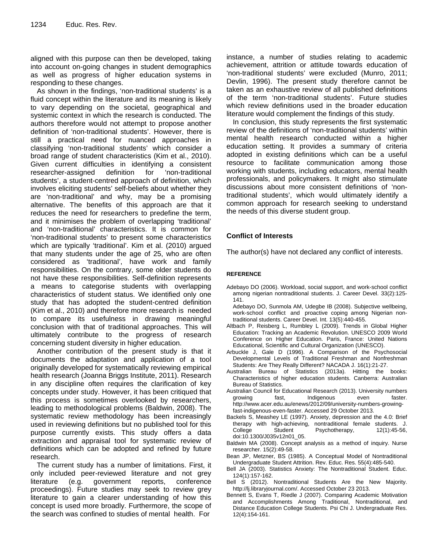aligned with this purpose can then be developed, taking into account on-going changes in student demographics as well as progress of higher education systems in responding to these changes.

As shown in the findings, 'non-traditional students' is a fluid concept within the literature and its meaning is likely to vary depending on the societal, geographical and systemic context in which the research is conducted. The authors therefore would not attempt to propose another definition of 'non-traditional students'. However, there is still a practical need for nuanced approaches in classifying 'non-traditional students' which consider a broad range of student characteristics (Kim et al., 2010). Given current difficulties in identifying a consistent researcher-assigned definition for 'non-traditional students', a student-centred approach of definition, which involves eliciting students' self-beliefs about whether they are 'non-traditional' and why, may be a promising alternative. The benefits of this approach are that it reduces the need for researchers to predefine the term, and it minimises the problem of overlapping 'traditional' and 'non-traditional' characteristics. It is common for 'non-traditional students' to present some characteristics which are typically 'traditional'. Kim et al. (2010) argued that many students under the age of 25, who are often considered as 'traditional', have work and family responsibilities. On the contrary, some older students do not have these responsibilities. Self-definition represents a means to categorise students with overlapping characteristics of student status. We identified only one study that has adopted the student-centred definition (Kim et al., 2010) and therefore more research is needed to compare its usefulness in drawing meaningful conclusion with that of traditional approaches. This will ultimately contribute to the progress of research concerning student diversity in higher education.

Another contribution of the present study is that it documents the adaptation and application of a tool originally developed for systematically reviewing empirical health research (Joanna Briggs Institute, 2011). Research in any discipline often requires the clarification of key concepts under study. However, it has been critiqued that this process is sometimes overlooked by researchers, leading to methodological problems (Baldwin, 2008). The systematic review methodology has been increasingly used in reviewing definitions but no published tool for this purpose currently exists. This study offers a data extraction and appraisal tool for systematic review of definitions which can be adopted and refined by future research.

The current study has a number of limitations. First, it only included peer-reviewed literature and not grey literature (e.g. government reports, conference proceedings). Future studies may seek to review grey literature to gain a clearer understanding of how this concept is used more broadly. Furthermore, the scope of the search was confined to studies of mental health. For

instance, a number of studies relating to academic achievement, attrition or attitude towards education of 'non-traditional students' were excluded (Munro, 2011; Devlin, 1996). The present study therefore cannot be taken as an exhaustive review of all published definitions of the term 'non-traditional students'. Future studies which review definitions used in the broader education literature would complement the findings of this study.

In conclusion, this study represents the first systematic review of the definitions of 'non-traditional students' within mental health research conducted within a higher education setting. It provides a summary of criteria adopted in existing definitions which can be a useful resource to facilitate communication among those working with students, including educators, mental health professionals, and policymakers. It might also stimulate discussions about more consistent definitions of 'nontraditional students', which would ultimately identify a common approach for research seeking to understand the needs of this diverse student group.

## **Conflict of Interests**

The author(s) have not declared any conflict of interests.

#### **REFERENCE**

Adebayo DO (2006). Workload, social support, and work-school conflict among nigerian nontraditional students. J. Career Devel. 33(2):125- 141.

Adebayo DO, Sunmola AM, Udegbe IB (2008). Subjective wellbeing, work-school conflict and proactive coping among Nigerian nontraditional students. Career Devel. Int. 13(5):440-455.

- Altbach P, Reisberg L, Rumbley L (2009). Trends in Global Higher Education: Tracking an Academic Revolution. UNESCO 2009 World Conference on Higher Education. Paris, France: United Nations Educational, Scientific and Cultural Organization (UNESCO).
- Arbuckle J, Gale D (1996). A Comparison of the Psychosocial Developmental Levels of Traditional Freshman and Nonfreshman Students: Are They Really Different? NACADA J. 16(1):21-27.
- Australian Bureau of Statistics (2013a). Hitting the books: Characteristics of higher education students. Canberra: Australian Bureau of Statistics.
- Australian Council for Educational Research (2013). University numbers growing fast, Indigenous even faster. http://www.acer.edu.au/enews/2012/09/university-numbers-growingfast-indigenous-even-faster. Accessed 29 October 2013.
- Backels S, Meashey LE (1997). Anxiety, depression and the 4.0: Brief therapy with high-achieving, nontraditional female students. J. College Student Psychotherapy, 12(1):45-56, doi:10.1300/J035v12n01\_05.
- Baldwin MA (2008). Concept analysis as a method of inquiry. Nurse researcher. 15(2):49-58.
- Bean JP, Metzner, BS (1985). A Conceptual Model of Nontraditional Undergraduate Student Attrition. Rev. Educ. Res. 55(4):485-540.
- Bell JA (2003). Statistics Anxiety: The Nontraditional Student. Educ. 124(1):157-162.
- Bell S (2012). Nontraditional Students Are the New Majority. http://lj.libraryjournal.com/. Accessed October 23 2013.
- Bennett S, Evans T, Riedle J (2007). Comparing Academic Motivation and Accomplishments Among Traditional, Nontraditional, and Distance Education College Students. Psi Chi J. Undergraduate Res. 12(4):154-161.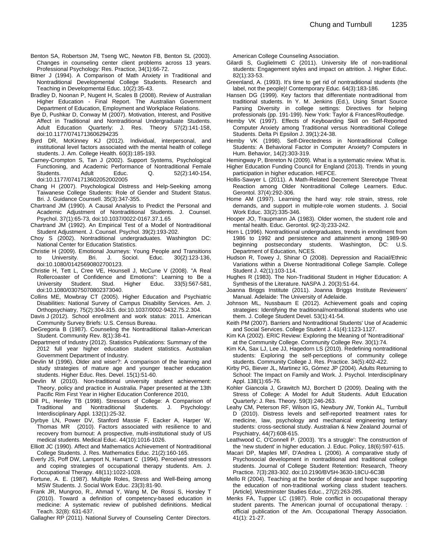- Benton SA, Robertson JM, Tseng WC, Newton FB, Benton SL (2003). Changes in counseling center client problems across 13 years. Professional Psychology: Res. Practice, 34(1):66-72.
- Bitner J (1994). A Comparison of Math Anxiety in Traditional and Nontraditional Developmental College Students. Research and Teaching in Developmental Educ. 10(2):35-43.
- Bradley D, Noonan P, Nugent H, Scales B (2008). Review of Australian Higher Education - Final Report. The Australian Government Department of Education, Employment and Workplace Relations.
- Bye D, Pushkar D, Conway M (2007). Motivation, Interest, and Positive Affect in Traditional and Nontraditional Undergraduate Students. Adult Education Quarterly: J. Res. Theory 57(2):141-158, doi:10.1177/0741713606294235
- Byrd DR, McKinney KJ (2012). Individual, interpersonal, and institutional level factors associated with the mental health of college students. J. Am. College Health. 60(3):185-193.
- Carney-Crompton S, Tan J (2002). Support Systems, Psychological Functioning, and Academic Performance of Nontraditional Female Adult Educ. Q. 52(2):140-154, doi:10.1177/0741713602052002005
- Chang H (2007). Psychological Distress and Help-Seeking among Taiwanese College Students: Role of Gender and Student Status. Bri. J. Guidance Counsell. 35(3):347-355.
- Chartrand JM (1990). A Causal Analysis to Predict the Personal and Academic Adjustment of Nontraditional Students. J. Counsel. Psychol. 37(1):65-73, doi:10.1037/0022-0167.37.1.65
- Chartrand JM (1992). An Empirical Test of a Model of Nontraditional Student Adjustment. J. Counsel. Psychol. 39(2):193-202.
- Choy S (2002). Nontraditional undergraduates. Washington DC: National Center for Education Statistics.
- Christie H (2009). Emotional Journeys: Young People and Transitions to University. Bri. J. Sociol. Educ. 30(2):123-136, doi:10.1080/01425690802700123.
- Christie H, Tett L, Cree VE, Hounsell J, McCune V (2008). "A Real Rollercoaster of Confidence and Emotions": Learning to Be a University Student. Stud. Higher Educ. 33(5):567-581, doi:10.1080/03075070802373040.
- Collins ME, Mowbray CT (2005). Higher Education and Psychiatric Disabilities: National Survey of Campus Disability Services. Am. J. Orthopsychiatry, 75(2):304-315. doi:10.1037/0002-9432.75.2.304.
- Davis J (2012). School enrollment and work status: 2011. American Community Survey Briefs: U.S. Census Bureau.
- DeGregoria B (1987). Counseling the Nontraditional Italian-American Student. Community Rev. 8(1):38-41.
- Department of Industry (2012). Statistics Publications: Summary of the 2012 full year higher education student statistics. Australian Government Department of Industry.
- Devlin M (1996). Older and wiser?: A comparison of the learning and study strategies of mature age and younger teacher education students. Higher Educ. Res. Devel. 15(1):51-60.
- Devlin M (2010). Non-traditional university student achievement: Theory, policy and practice in Australia. Paper presented at the 13th Pacific Rim First Year in Higher Education Conference 2010,
- Dill PL, Henley TB (1998). Stressors of College: A Comparison of Traditional and Nontraditional Students. J. Psychology: Interdisciplinary Appl. 132(1):25-32.
- Dyrbye LN, Power DV, Stanford Massie F, Eacker A, Harper W, Thomas MR (2010). Factors associated with resilience to and recovery from burnout: A prospective, multi-institutional study of US medical students. Medical Educ. 44(10):1016-1026.
- Elliott JC (1990). Affect and Mathematics Achievement of Nontraditional College Students. J. Res. Mathematics Educ. 21(2):160-165.
- Everly JS, Poff DW, Lamport N, Hamant C (1994). Perceived stressors and coping strategies of occupational therapy students. Am. J. Occupational Therapy. 48(11):1022-1028.
- Fortune, A. E. (1987). Multiple Roles, Stress and Well-Being among MSW Students. J. Social Work Educ. 23(3):81-90.
- Frank JR, Mungroo, R., Ahmad Y, Wang M, De Rossi S, Horsley T (2010). Toward a definition of competency-based education in medicine: A systematic review of published definitions. Medical Teach. 32(8): 631-637.
- Gallagher RP (2011). National Survey of Counseling Center Directors.

American College Counseling Association.

- Gilardi S, Guglielmetti C (2011). University life of non-traditional students: Engagement styles and impact on attrition. J. Higher Educ. 82(1):33-53.
- Greenland, A. (1993). It's time to get rid of nontraditional students (the label, not the people)! Contemporary Educ. 64(3):183-186.
- Hansen DG (1999). Key factors that differentiate nontraditional from traditional students. In Y. M. Jenkins (Ed.), Using Smart Source Parsing Diversity in college settings: Directives for helping professionals (pp. 191-199). New York: Taylor & Frances/Routledge.
- Hemby VK (1997). Effects of Keyboarding Skill on Self-Reported Computer Anxiety among Traditional versus Nontraditional College Students. Delta Pi Epsilon J. 39(1):24-38.
- Hemby VK (1998). Self-Directedness in Nontraditional College Students: A Behavioral Factor in Computer Anxiety? Computers in Hum. Behavior, 14(2):303-319.
- Hemingway P, Brereton N (2009). What is a systematic review. What is.
- Higher Education Funding Council for England (2013). Trends in young participation in higher education. HEFCE.
- Hollis-Sawyer L (2011). A Math-Related Decrement Stereotype Threat Reaction among Older Nontraditional College Learners. Educ. Gerontol. 37(4):292-306.
- Home AM (1997). Learning the hard way: role strain, stress, role demands, and support in multiple-role women students. J. Social Work Educ. 33(2):335-346.
- Hooper JO, Traupmann JA (1983). Older women, the student role and mental health. Educ. Gerontol. 9(2-3):233-242.
- Horn L (1996). Nontraditional undergraduates, trends in enrollment from 1986 to 1992 and persistence and attainment among 1989-90 beginning postsecondary students. Washington, DC: U.S. Department of Education, NCES.
- Hudson R, Towey J, Shinar O (2008). Depression and Racial/Ethnic Variations within a Diverse Nontraditional College Sample. College Student J. 42(1):103-114.
- Hughes R (1983). The Non-Traditional Student in Higher Education: A Synthesis of the Literature. NASPA J. 20(3):51-64.
- Joanna Briggs Institute (2011). Joanna Briggs Institute Reviewers' Manual. Adelaide: The University of Adelaide.
- Johnson ML, Nussbaum E (2012). Achievement goals and coping strategies: Identifying the traditional/nontraditional students who use them. J. College Student Devel. 53(1):41-54.
- Keith PM (2007). Barriers and Nontraditional Students' Use of Academic and Social Services. College Student J. 41(4):1123-1127.
- Kim KA (2002). ERIC Review: Exploring the Meaning of 'Nontraditional' at the Community College. Community College Rev. 30(1):74.
- Kim KA, Sax LJ, Lee JJ, Hagedorn LS (2010). Redefining nontraditional students: Exploring the self-perceptions of community college students. Community College J. Res. Practice. 34(5):402-422.
- Kirby PG, Biever JL, Martinez IG, Gómez JP (2004). Adults Returning to School: The Impact on Family and Work. J. Psychol. Interdisciplinary Appl. 138(1):65-76.
- Kohler Giancola J, Grawitch MJ, Borchert D (2009). Dealing with the Stress of College: A Model for Adult Students. Adult Education Quarterly: J. Res. Theory. 59(3):246-263.
- Leahy CM, Peterson RF, Wilson IG, Newbury JW, Tonkin AL, Turnbull D (2010). Distress levels and self-reported treatment rates for medicine, law, psychology and mechanical engineering tertiary students: cross-sectional study. Australian & New Zealand Journal of Psychiatry, 44(7):608-615.
- Leathwood C, O'Connell P. (2003). 'It's a struggle': The construction of the 'new student' in higher education. J. Educ. Policy, 18(6):597-615.
- Macari DP, Maples MF, D'Andrea L (2006). A comparative study of Psychosocial development in nontraditional and traditional college students. Journal of College Student Retention: Research, Theory Practice. 7(3):283-302. doi:10.2190/BV5H-3630-18CU-6C3B
- Mello R (2004). Teaching at the border of despair and hope: supporting the education of non-traditional working class student teachers. [Article]. Westminster Studies Educ., 27(2):263-285.
- Menks FA, Tupper LC (1987). Role conflict in occupational therapy student parents. The American journal of occupational therapy. : official publication of the Am. Occupational Therapy Association. 41(1): 21-27.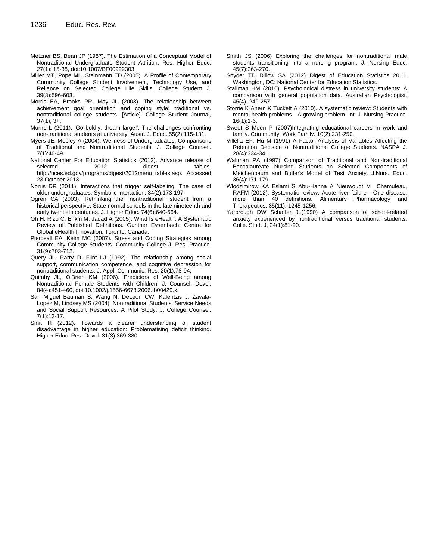- Metzner BS, Bean JP (1987). The Estimation of a Conceptual Model of Nontraditional Undergraduate Student Attrition. Res. Higher Educ. 27(1): 15-38, doi:10.1007/BF00992303.
- Miller MT, Pope ML, Steinmann TD (2005). A Profile of Contemporary Community College Student Involvement, Technology Use, and Reliance on Selected College Life Skills. College Student J. 39(3):596-603.
- Morris EA, Brooks PR, May JL (2003). The relationship between achievement goal orientation and coping style: traditional vs. nontraditional college students. [Article]. College Student Journal,  $37(1)$ ,  $3+$ .
- Munro L (2011). 'Go boldly, dream large!': The challenges confronting non-traditional students at university. Austr. J. Educ. 55(2):115-131.
- Myers JE, Mobley A (2004). Wellness of Undergraduates: Comparisons of Traditional and Nontraditional Students. J. College Counsel. 7(1):40-49.
- National Center For Education Statistics (2012). Advance release of selected 2012 digest tables. http://nces.ed.gov/programs/digest/2012menu\_tables.asp. Accessed 23 October 2013.
- Norris DR (2011). Interactions that trigger self-labeling: The case of older undergraduates. Symbolic Interaction, 34(2):173-197.
- Ogren CA (2003). Rethinking the" nontraditional" student from a historical perspective: State normal schools in the late nineteenth and early twentieth centuries. J. Higher Educ. 74(6):640-664.
- Oh H, Rizo C, Enkin M, Jadad A (2005). What Is eHealth: A Systematic Review of Published Definitions. Gunther Eysenbach; Centre for Global eHealth Innovation, Toronto, Canada.
- Pierceall EA, Keim MC (2007). Stress and Coping Strategies among Community College Students. Community College J. Res. Practice. 31(9):703-712.
- Query JL, Parry D, Flint LJ (1992). The relationship among social support, communication competence, and cognitive depression for nontraditional students. J. Appl. Communic. Res. 20(1):78-94.
- Quimby JL, O'Brien KM (2006). Predictors of Well-Being among Nontraditional Female Students with Children. J. Counsel. Devel. 84(4):451-460, doi:10.1002/j.1556-6678.2006.tb00429.x.
- San Miguel Bauman S, Wang N, DeLeon CW, Kafentzis J, Zavala-Lopez M, Lindsey MS (2004). Nontraditional Students' Service Needs and Social Support Resources: A Pilot Study. J. College Counsel. 7(1):13-17.
- Smit R (2012). Towards a clearer understanding of student disadvantage in higher education: Problematising deficit thinking. Higher Educ. Res. Devel. 31(3):369-380.
- Smith JS (2006) Exploring the challenges for nontraditional male students transitioning into a nursing program. J. Nursing Educ. 45(7):263-270.
- Snyder TD Dillow SA (2012) Digest of Education Statistics 2011. Washington, DC: National Center for Education Statistics.
- Stallman HM (2010). Psychological distress in university students: A comparison with general population data. Australian Psychologist, 45(4), 249-257.
- Storrie K Ahern K Tuckett A (2010). A systematic review: Students with mental health problems—A growing problem. Int. J. Nursing Practice. 16(1):1-6.
- Sweet S Moen P (2007)Integrating educational careers in work and family. Community, Work Family. 10(2):231-250.
- Villella EF, Hu M (1991) A Factor Analysis of Variables Affecting the Retention Decision of Nontraditional College Students. NASPA J. 28(4):334-341.
- Waltman PA (1997) Comparison of Traditional and Non-traditional Baccalaureate Nursing Students on Selected Components of Meichenbaum and Butler's Model of Test Anxiety. J.Nurs. Educ. 36(4):171-179.
- Wlodzimirow KA Eslami S Abu-Hanna A Nieuwoudt M Chamuleau, RAFM (2012). Systematic review: Acute liver failure - One disease, more than 40 definitions. Alimentary Pharmacology and Therapeutics, 35(11): 1245-1256.
- Yarbrough DW Schaffer JL(1990) A comparison of school-related anxiety experienced by nontraditional versus traditional students. Colle. Stud. J, 24(1):81-90.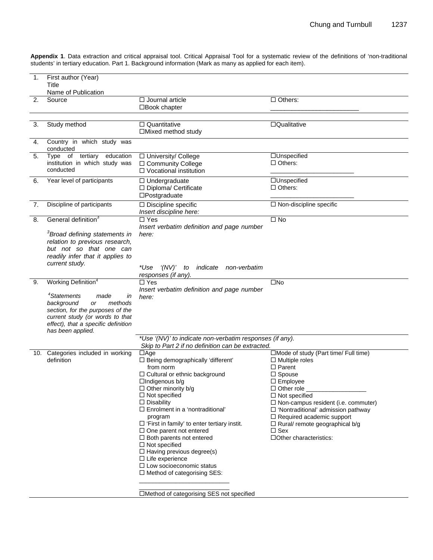**Appendix 1**. Data extraction and critical appraisal tool. Critical Appraisal Tool for a systematic review of the definitions of 'non-traditional students' in tertiary education. Part 1. Background information (Mark as many as applied for each item).

| 1. | First author (Year)<br>Title<br>Name of Publication                                                                                                                                                                                        |                                                                                                                                                                                                                                                                                                                                                                                                                                                                                                                                              |                                                                                                                                                                                                                                                                                                                                                                                              |
|----|--------------------------------------------------------------------------------------------------------------------------------------------------------------------------------------------------------------------------------------------|----------------------------------------------------------------------------------------------------------------------------------------------------------------------------------------------------------------------------------------------------------------------------------------------------------------------------------------------------------------------------------------------------------------------------------------------------------------------------------------------------------------------------------------------|----------------------------------------------------------------------------------------------------------------------------------------------------------------------------------------------------------------------------------------------------------------------------------------------------------------------------------------------------------------------------------------------|
| 2. | Source                                                                                                                                                                                                                                     | $\Box$ Journal article<br>□Book chapter                                                                                                                                                                                                                                                                                                                                                                                                                                                                                                      | $\Box$ Others:                                                                                                                                                                                                                                                                                                                                                                               |
| 3. | Study method                                                                                                                                                                                                                               | □ Quantitative<br>$\Box$ Mixed method study                                                                                                                                                                                                                                                                                                                                                                                                                                                                                                  | □Qualitative                                                                                                                                                                                                                                                                                                                                                                                 |
| 4. | Country in which study was<br>conducted                                                                                                                                                                                                    |                                                                                                                                                                                                                                                                                                                                                                                                                                                                                                                                              |                                                                                                                                                                                                                                                                                                                                                                                              |
| 5. | education<br>Type of<br>tertiary<br>institution in which study was<br>conducted                                                                                                                                                            | □ University/ College<br>□ Community College<br>$\Box$ Vocational institution                                                                                                                                                                                                                                                                                                                                                                                                                                                                | □Unspecified<br>$\Box$ Others:                                                                                                                                                                                                                                                                                                                                                               |
| 6. | Year level of participants                                                                                                                                                                                                                 | $\Box$ Undergraduate<br>□ Diploma/ Certificate<br>$\square$ Postgraduate                                                                                                                                                                                                                                                                                                                                                                                                                                                                     | □Unspecified<br>$\Box$ Others:                                                                                                                                                                                                                                                                                                                                                               |
| 7. | Discipline of participants                                                                                                                                                                                                                 | $\Box$ Discipline specific<br>Insert discipline here:                                                                                                                                                                                                                                                                                                                                                                                                                                                                                        | $\Box$ Non-discipline specific                                                                                                                                                                                                                                                                                                                                                               |
| 8. | General definition <sup>3</sup><br><sup>3</sup> Broad defining statements in<br>relation to previous research,<br>but not so that one can<br>readily infer that it applies to<br>current study.                                            | $\Box$ Yes<br>Insert verbatim definition and page number<br>here:                                                                                                                                                                                                                                                                                                                                                                                                                                                                            | $\square$ No                                                                                                                                                                                                                                                                                                                                                                                 |
|    |                                                                                                                                                                                                                                            | *Use<br>'(NV)' to<br>indicate<br>non-verbatim<br>responses (if any).                                                                                                                                                                                                                                                                                                                                                                                                                                                                         |                                                                                                                                                                                                                                                                                                                                                                                              |
| 9. | Working Definition <sup>4</sup><br><sup>4</sup> Statements<br>made<br>in<br>background<br>methods<br>or<br>section, for the purposes of the<br>current study (or words to that<br>effect), that a specific definition<br>has been applied. | $\Box$ Yes<br>Insert verbatim definition and page number<br>here:                                                                                                                                                                                                                                                                                                                                                                                                                                                                            | $\square$ No                                                                                                                                                                                                                                                                                                                                                                                 |
|    |                                                                                                                                                                                                                                            | *Use '(NV)' to indicate non-verbatim responses (if any).<br>Skip to Part 2 if no definition can be extracted.                                                                                                                                                                                                                                                                                                                                                                                                                                |                                                                                                                                                                                                                                                                                                                                                                                              |
|    | 10. Categories included in working<br>definition                                                                                                                                                                                           | $\Box$ Age<br>□ Being demographically 'different'<br>from norm<br>□ Cultural or ethnic background<br>□Indigenous b/g<br>$\Box$ Other minority b/g<br>$\Box$ Not specified<br>$\Box$ Disability<br>$\Box$ Enrolment in a 'nontraditional'<br>program<br>$\Box$ 'First in family' to enter tertiary instit.<br>$\Box$ One parent not entered<br>$\Box$ Both parents not entered<br>$\Box$ Not specified<br>$\Box$ Having previous degree(s)<br>$\Box$ Life experience<br>$\Box$ Low socioeconomic status<br>$\Box$ Method of categorising SES: | □Mode of study (Part time/ Full time)<br>$\Box$ Multiple roles<br>$\Box$ Parent<br>$\Box$ Spouse<br>$\Box$ Employee<br>$\sqcup$ Other role $\_$<br>$\Box$ Not specified<br>$\Box$ Non-campus resident (i.e. commuter)<br>□ 'Nontraditional' admission pathway<br>$\Box$ Required academic support<br>$\Box$ Rural/ remote geographical b/g<br>$\square$ Sex<br>$\Box$ Other characteristics: |

Method of categorising SES not specified